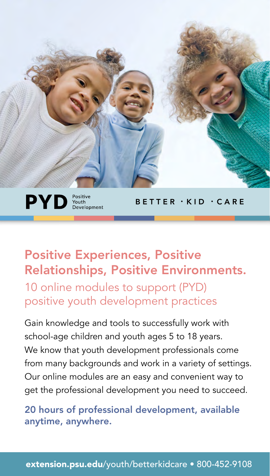

 $PVD$   $_{\tiny{\begin{subarray}{c} \textrm{Positive} \\ \textrm{Development} \end{subarray}}^{Postive} }$ 

BETTER • KID • CARE

# Positive Experiences, Positive Relationships, Positive Environments.

10 online modules to support (PYD) positive youth development practices

Gain knowledge and tools to successfully work with school-age children and youth ages 5 to 18 years. We know that youth development professionals come from many backgrounds and work in a variety of settings. Our online modules are an easy and convenient way to get the professional development you need to succeed.

20 hours of professional development, available anytime, anywhere.